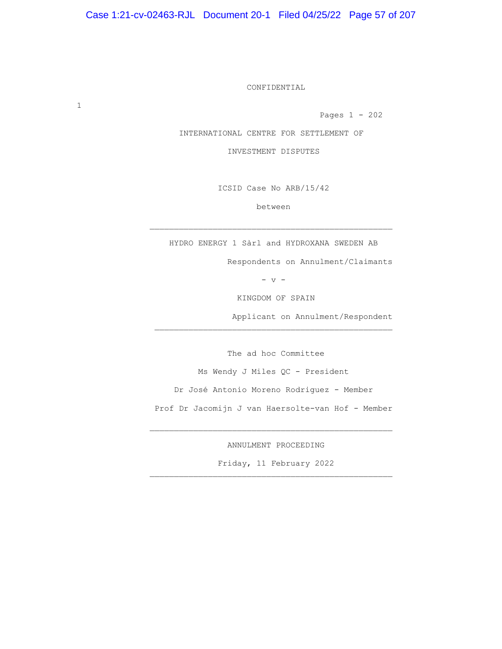CONFIDENTIAL

Pages 1 - 202

INTERNATIONAL CENTRE FOR SETTLEMENT OF

INVESTMENT DISPUTES

ICSID Case No ARB/15/42

between

HYDRO ENERGY 1 Sàrl and HYDROXANA SWEDEN AB

Respondents on Annulment/Claimants

 $-$  v  $-$ 

KINGDOM OF SPAIN

Applicant on Annulment/Respondent

 The ad hoc Committee Ms Wendy J Miles QC - President Dr José Antonio Moreno Rodriguez - Member Prof Dr Jacomijn J van Haersolte-van Hof - Member

ANNULMENT PROCEEDING

 $\overline{\phantom{a}}$  ,  $\overline{\phantom{a}}$  ,  $\overline{\phantom{a}}$  ,  $\overline{\phantom{a}}$  ,  $\overline{\phantom{a}}$  ,  $\overline{\phantom{a}}$  ,  $\overline{\phantom{a}}$  ,  $\overline{\phantom{a}}$  ,  $\overline{\phantom{a}}$  ,  $\overline{\phantom{a}}$  ,  $\overline{\phantom{a}}$  ,  $\overline{\phantom{a}}$  ,  $\overline{\phantom{a}}$  ,  $\overline{\phantom{a}}$  ,  $\overline{\phantom{a}}$  ,  $\overline{\phantom{a}}$ 

Friday, 11 February 2022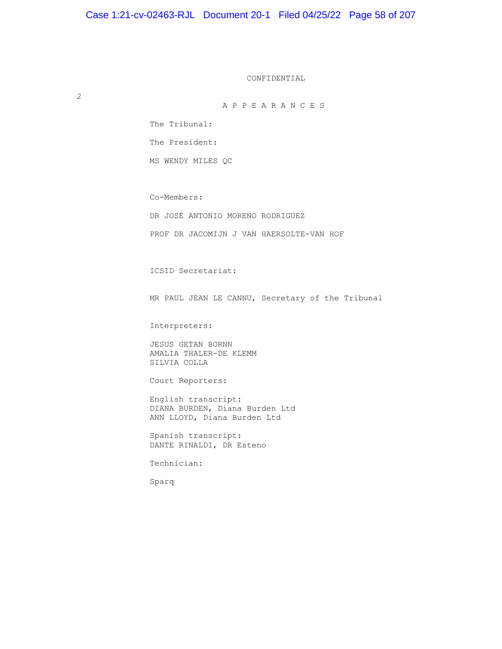CONFIDENTIAL

2

A P P E A R A N C E S

The Tribunal:

The President:

MS WENDY MILES QC

Co-Members:

DR JOSÉ ANTONIO MORENO RODRIGUEZ

PROF DR JACOMIJN J VAN HAERSOLTE-VAN HOF

ICSID Secretariat:

MR PAUL JEAN LE CANNU, Secretary of the Tribunal

Interpreters:

 JESUS GETAN BORNN AMALIA THALER-DE KLEMM SILVIA COLLA

Court Reporters:

 English transcript: DIANA BURDEN, Diana Burden Ltd ANN LLOYD, Diana Burden Ltd

 Spanish transcript: DANTE RINALDI, DR Esteno

Technician:

Sparq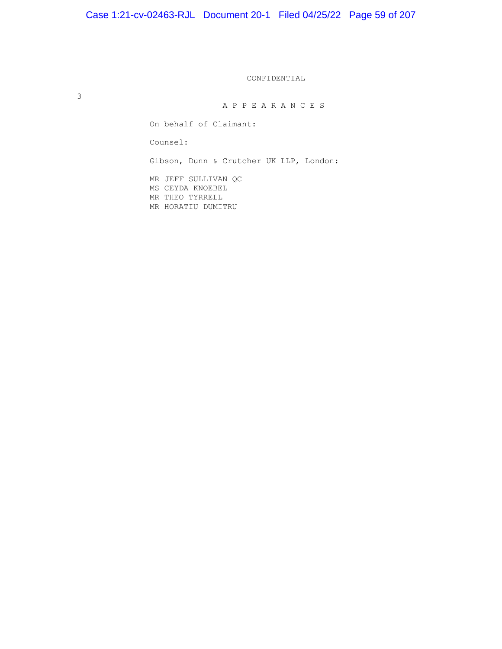# Case 1:21-cv-02463-RJL Document 20-1 Filed 04/25/22 Page 59 of 207

CONFIDENTIAL

3

A P P E A R A N C E S

On behalf of Claimant:

Counsel:

Gibson, Dunn & Crutcher UK LLP, London:

 MR JEFF SULLIVAN QC MS CEYDA KNOEBEL MR THEO TYRRELL MR HORATIU DUMITRU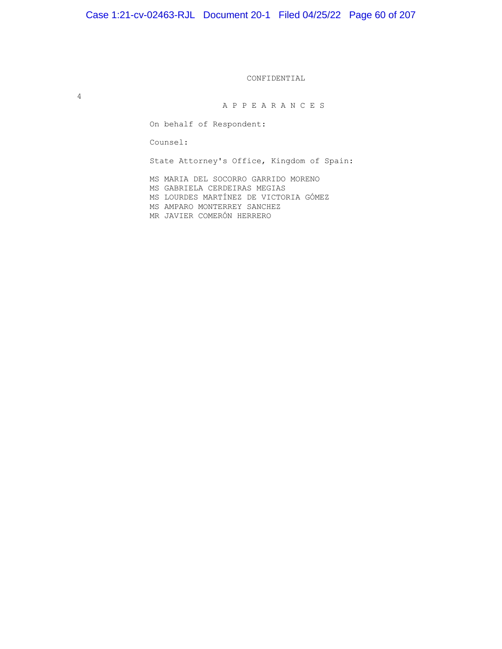# Case 1:21-cv-02463-RJL Document 20-1 Filed 04/25/22 Page 60 of 207

CONFIDENTIAL

4

A P P E A R A N C E S

On behalf of Respondent:

Counsel:

State Attorney's Office, Kingdom of Spain:

 MS MARIA DEL SOCORRO GARRIDO MORENO MS GABRIELA CERDEIRAS MEGIAS MS LOURDES MARTÍNEZ DE VICTORIA GÓMEZ MS AMPARO MONTERREY SANCHEZ MR JAVIER COMERÓN HERRERO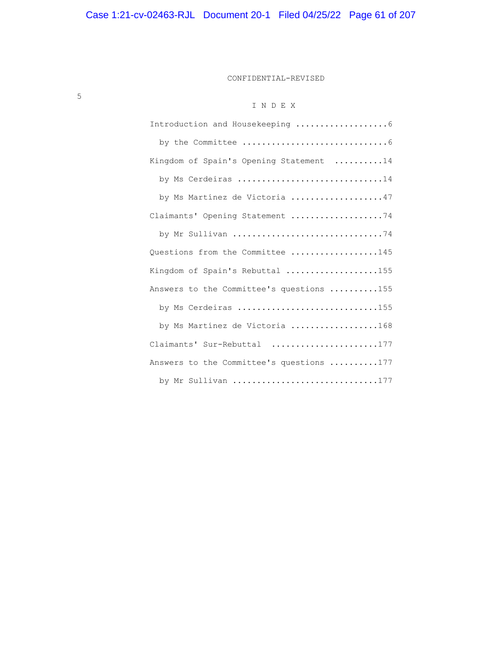CONFIDENTIAL-REVISED

# I N D E X

| Kingdom of Spain's Opening Statement 14  |
|------------------------------------------|
| by Ms Cerdeiras 14                       |
| by Ms Martinez de Victoria 47            |
| Claimants' Opening Statement 74          |
| by Mr Sullivan 74                        |
| Questions from the Committee 145         |
| Kingdom of Spain's Rebuttal 155          |
| Answers to the Committee's questions 155 |
| by Ms Cerdeiras 155                      |
| by Ms Martinez de Victoria 168           |
| Claimants' Sur-Rebuttal 177              |
| Answers to the Committee's questions 177 |
| by Mr Sullivan 177                       |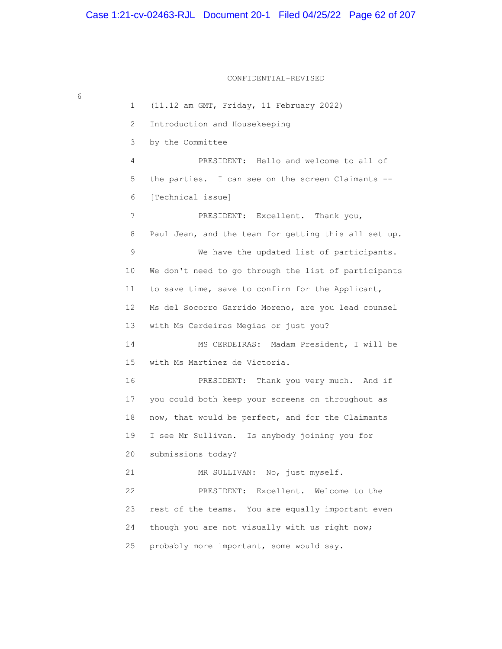CONFIDENTIAL-REVISED

 1 (11.12 am GMT, Friday, 11 February 2022) 2 Introduction and Housekeeping 3 by the Committee 4 PRESIDENT: Hello and welcome to all of 5 the parties. I can see on the screen Claimants -- 6 [Technical issue] 7 PRESIDENT: Excellent. Thank you, 8 Paul Jean, and the team for getting this all set up. 9 We have the updated list of participants. 10 We don't need to go through the list of participants 11 to save time, save to confirm for the Applicant, 12 Ms del Socorro Garrido Moreno, are you lead counsel 13 with Ms Cerdeiras Megias or just you? 14 MS CERDEIRAS: Madam President, I will be 15 with Ms Martínez de Victoria. 16 PRESIDENT: Thank you very much. And if 17 you could both keep your screens on throughout as 18 now, that would be perfect, and for the Claimants 19 I see Mr Sullivan. Is anybody joining you for 20 submissions today? 21 MR SULLIVAN: No, just myself. 22 PRESIDENT: Excellent. Welcome to the 23 rest of the teams. You are equally important even 24 though you are not visually with us right now; 25 probably more important, some would say.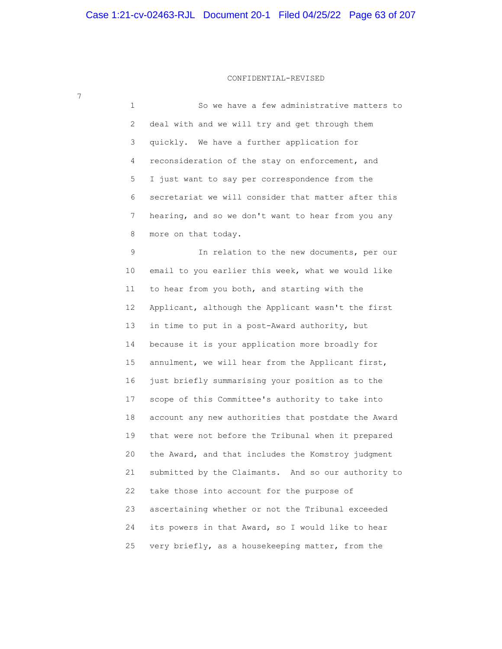# CONFIDENTIAL-REVISED

| 1  | So we have a few administrative matters to          |
|----|-----------------------------------------------------|
| 2  | deal with and we will try and get through them      |
| 3  | quickly. We have a further application for          |
| 4  | reconsideration of the stay on enforcement, and     |
| 5  | I just want to say per correspondence from the      |
| 6  | secretariat we will consider that matter after this |
| 7  | hearing, and so we don't want to hear from you any  |
| 8  | more on that today.                                 |
| 9  | In relation to the new documents, per our           |
| 10 | email to you earlier this week, what we would like  |
| 11 | to hear from you both, and starting with the        |
| 12 | Applicant, although the Applicant wasn't the first  |
| 13 | in time to put in a post-Award authority, but       |
| 14 | because it is your application more broadly for     |
| 15 | annulment, we will hear from the Applicant first,   |
| 16 | just briefly summarising your position as to the    |
| 17 | scope of this Committee's authority to take into    |
| 18 | account any new authorities that postdate the Award |
| 19 | that were not before the Tribunal when it prepared  |
| 20 | the Award, and that includes the Komstroy judgment  |
| 21 | submitted by the Claimants. And so our authority to |
| 22 | take those into account for the purpose of          |
| 23 | ascertaining whether or not the Tribunal exceeded   |
| 24 | its powers in that Award, so I would like to hear   |
| 25 | very briefly, as a housekeeping matter, from the    |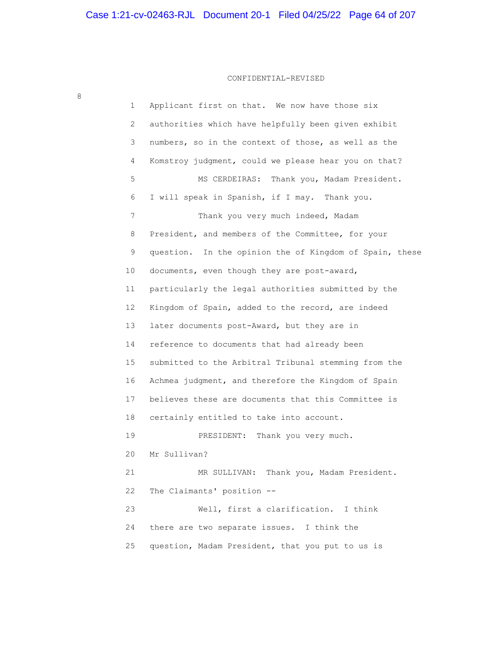# CONFIDENTIAL-REVISED

| 1               | Applicant first on that. We now have those six             |
|-----------------|------------------------------------------------------------|
| 2               | authorities which have helpfully been given exhibit        |
| 3               | numbers, so in the context of those, as well as the        |
| 4               | Komstroy judgment, could we please hear you on that?       |
| 5               | Thank you, Madam President.<br>MS CERDEIRAS:               |
| 6               | I will speak in Spanish, if I may. Thank you.              |
| 7               | Thank you very much indeed, Madam                          |
| 8               | President, and members of the Committee, for your          |
| 9               | In the opinion the of Kingdom of Spain, these<br>question. |
| 10              | documents, even though they are post-award,                |
| 11              | particularly the legal authorities submitted by the        |
| 12 <sup>°</sup> | Kingdom of Spain, added to the record, are indeed          |
| 13              | later documents post-Award, but they are in                |
| 14              | reference to documents that had already been               |
| 15              | submitted to the Arbitral Tribunal stemming from the       |
| 16              | Achmea judgment, and therefore the Kingdom of Spain        |
| 17              | believes these are documents that this Committee is        |
| 18              | certainly entitled to take into account.                   |
| 19              | Thank you very much.<br>PRESIDENT:                         |
| 20              | Mr Sullivan?                                               |
| 21              | MR SULLIVAN: Thank you, Madam President.                   |
| 22              | The Claimants' position --                                 |
| 23              | Well, first a clarification. I think                       |
| 24              | there are two separate issues. I think the                 |
| 25              | question, Madam President, that you put to us is           |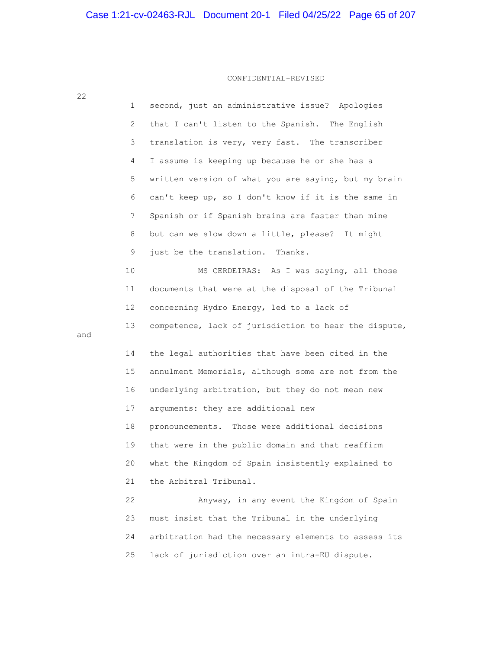| 22  |                       |                                                       |
|-----|-----------------------|-------------------------------------------------------|
|     | 1                     | second, just an administrative issue? Apologies       |
|     | $\mathbf{2}^{\prime}$ | that I can't listen to the Spanish. The English       |
|     | 3                     | translation is very, very fast. The transcriber       |
|     | 4                     | I assume is keeping up because he or she has a        |
|     | 5                     | written version of what you are saying, but my brain  |
|     | 6                     | can't keep up, so I don't know if it is the same in   |
|     | 7                     | Spanish or if Spanish brains are faster than mine     |
|     | 8                     | but can we slow down a little, please? It might       |
|     | 9                     | just be the translation. Thanks.                      |
|     | 10                    | MS CERDEIRAS: As I was saying, all those              |
|     | 11                    | documents that were at the disposal of the Tribunal   |
|     | 12 <sup>°</sup>       | concerning Hydro Energy, led to a lack of             |
|     | 13                    | competence, lack of jurisdiction to hear the dispute, |
| and |                       |                                                       |
|     | 14                    | the legal authorities that have been cited in the     |
|     | 15                    | annulment Memorials, although some are not from the   |
|     | 16                    | underlying arbitration, but they do not mean new      |
|     | 17                    | arguments: they are additional new                    |
|     | 18                    | pronouncements. Those were additional decisions       |
|     | 19                    | that were in the public domain and that reaffirm      |
|     | 20                    | what the Kingdom of Spain insistently explained to    |
|     | 21                    | the Arbitral Tribunal.                                |
|     | 22                    | Anyway, in any event the Kingdom of Spain             |
|     | 23                    | must insist that the Tribunal in the underlying       |
|     | 24                    | arbitration had the necessary elements to assess its  |
|     | 25                    | lack of jurisdiction over an intra-EU dispute.        |

22

and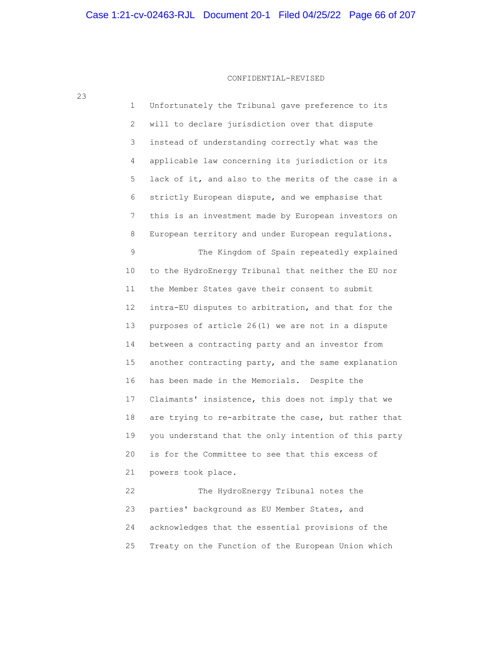23

 1 Unfortunately the Tribunal gave preference to its 2 will to declare jurisdiction over that dispute 3 instead of understanding correctly what was the 4 applicable law concerning its jurisdiction or its 5 lack of it, and also to the merits of the case in a 6 strictly European dispute, and we emphasise that 7 this is an investment made by European investors on 8 European territory and under European regulations. 9 The Kingdom of Spain repeatedly explained 10 to the HydroEnergy Tribunal that neither the EU nor 11 the Member States gave their consent to submit 12 intra-EU disputes to arbitration, and that for the 13 purposes of article 26(1) we are not in a dispute 14 between a contracting party and an investor from 15 another contracting party, and the same explanation 16 has been made in the Memorials. Despite the 17 Claimants' insistence, this does not imply that we 18 are trying to re-arbitrate the case, but rather that 19 you understand that the only intention of this party 20 is for the Committee to see that this excess of 21 powers took place. 22 The HydroEnergy Tribunal notes the 23 parties' background as EU Member States, and

 24 acknowledges that the essential provisions of the 25 Treaty on the Function of the European Union which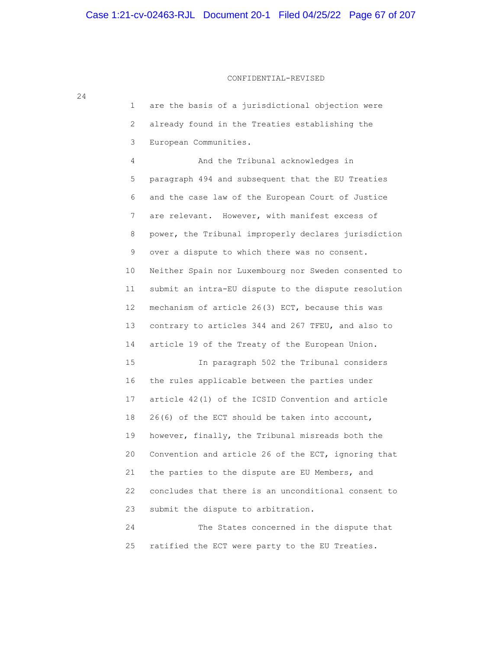1 are the basis of a jurisdictional objection were 2 already found in the Treaties establishing the 3 European Communities. 4 And the Tribunal acknowledges in 5 paragraph 494 and subsequent that the EU Treaties 6 and the case law of the European Court of Justice 7 are relevant. However, with manifest excess of 8 power, the Tribunal improperly declares jurisdiction 9 over a dispute to which there was no consent. 10 Neither Spain nor Luxembourg nor Sweden consented to 11 submit an intra-EU dispute to the dispute resolution 12 mechanism of article 26(3) ECT, because this was 13 contrary to articles 344 and 267 TFEU, and also to 14 article 19 of the Treaty of the European Union. 15 In paragraph 502 the Tribunal considers 16 the rules applicable between the parties under 17 article 42(1) of the ICSID Convention and article 18 26(6) of the ECT should be taken into account, 19 however, finally, the Tribunal misreads both the 20 Convention and article 26 of the ECT, ignoring that 21 the parties to the dispute are EU Members, and 22 concludes that there is an unconditional consent to 23 submit the dispute to arbitration. 24 The States concerned in the dispute that 25 ratified the ECT were party to the EU Treaties.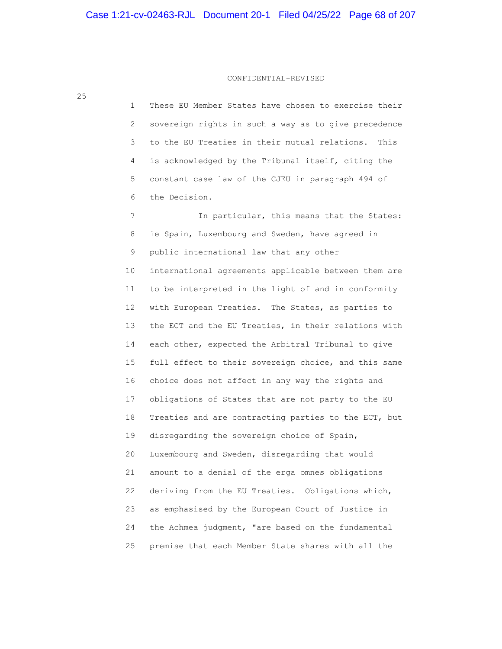25

 1 These EU Member States have chosen to exercise their 2 sovereign rights in such a way as to give precedence 3 to the EU Treaties in their mutual relations. This 4 is acknowledged by the Tribunal itself, citing the 5 constant case law of the CJEU in paragraph 494 of 6 the Decision.

7 In particular, this means that the States: 8 ie Spain, Luxembourg and Sweden, have agreed in 9 public international law that any other 10 international agreements applicable between them are 11 to be interpreted in the light of and in conformity 12 with European Treaties. The States, as parties to 13 the ECT and the EU Treaties, in their relations with 14 each other, expected the Arbitral Tribunal to give 15 full effect to their sovereign choice, and this same 16 choice does not affect in any way the rights and 17 obligations of States that are not party to the EU 18 Treaties and are contracting parties to the ECT, but 19 disregarding the sovereign choice of Spain, 20 Luxembourg and Sweden, disregarding that would 21 amount to a denial of the erga omnes obligations 22 deriving from the EU Treaties. Obligations which, 23 as emphasised by the European Court of Justice in 24 the Achmea judgment, "are based on the fundamental 25 premise that each Member State shares with all the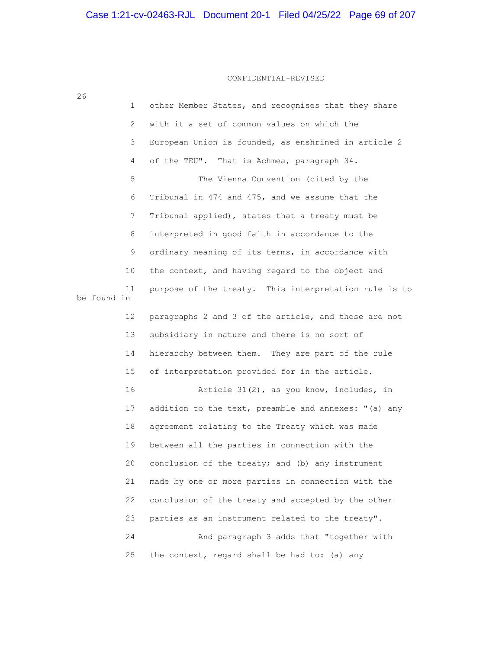| 26          |                 |                                                       |
|-------------|-----------------|-------------------------------------------------------|
|             | $\mathbf{1}$    | other Member States, and recognises that they share   |
|             | 2               | with it a set of common values on which the           |
|             | 3               | European Union is founded, as enshrined in article 2  |
|             | 4               | of the TEU". That is Achmea, paragraph 34.            |
|             | 5               | The Vienna Convention (cited by the                   |
|             | 6               | Tribunal in 474 and 475, and we assume that the       |
|             | 7               | Tribunal applied), states that a treaty must be       |
|             | 8               | interpreted in good faith in accordance to the        |
|             | 9               | ordinary meaning of its terms, in accordance with     |
|             | 10              | the context, and having regard to the object and      |
| be found in | 11              | purpose of the treaty. This interpretation rule is to |
|             | 12 <sup>°</sup> | paragraphs 2 and 3 of the article, and those are not  |
|             | 13              | subsidiary in nature and there is no sort of          |
|             | 14              | hierarchy between them. They are part of the rule     |
|             | 15              | of interpretation provided for in the article.        |
|             | 16              | Article 31(2), as you know, includes, in              |
|             | 17              | addition to the text, preamble and annexes: "(a) any  |
|             | 18              | agreement relating to the Treaty which was made       |
|             | 19              | between all the parties in connection with the        |
|             | 20              | conclusion of the treaty; and (b) any instrument      |
|             | 21              | made by one or more parties in connection with the    |
|             | 22              | conclusion of the treaty and accepted by the other    |
|             | 23              | parties as an instrument related to the treaty".      |
|             | 24              | And paragraph 3 adds that "together with              |
|             | 25              | the context, regard shall be had to: (a) any          |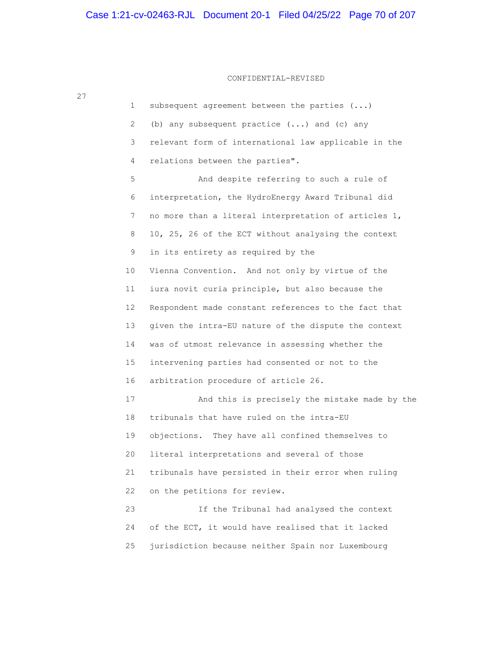| $\mathbf 1$ | subsequent agreement between the parties ()          |
|-------------|------------------------------------------------------|
| 2           | (b) any subsequent practice () and (c) any           |
| 3           | relevant form of international law applicable in the |
| 4           | relations between the parties".                      |
| 5           | And despite referring to such a rule of              |
| 6           | interpretation, the HydroEnergy Award Tribunal did   |
| 7           | no more than a literal interpretation of articles 1, |
| 8           | 10, 25, 26 of the ECT without analysing the context  |
| 9           | in its entirety as required by the                   |
| 10          | Vienna Convention. And not only by virtue of the     |
| 11          | iura novit curia principle, but also because the     |
| 12          | Respondent made constant references to the fact that |
| 13          | given the intra-EU nature of the dispute the context |
| 14          | was of utmost relevance in assessing whether the     |
| 15          | intervening parties had consented or not to the      |
| 16          | arbitration procedure of article 26.                 |
| 17          | And this is precisely the mistake made by the        |
| 18          | tribunals that have ruled on the intra-EU            |
| 19          | objections. They have all confined themselves to     |
| 20          | literal interpretations and several of those         |
| 21          | tribunals have persisted in their error when ruling  |
| 22          | on the petitions for review.                         |
| 23          | If the Tribunal had analysed the context             |
| 24          | of the ECT, it would have realised that it lacked    |
| 25          | jurisdiction because neither Spain nor Luxembourg    |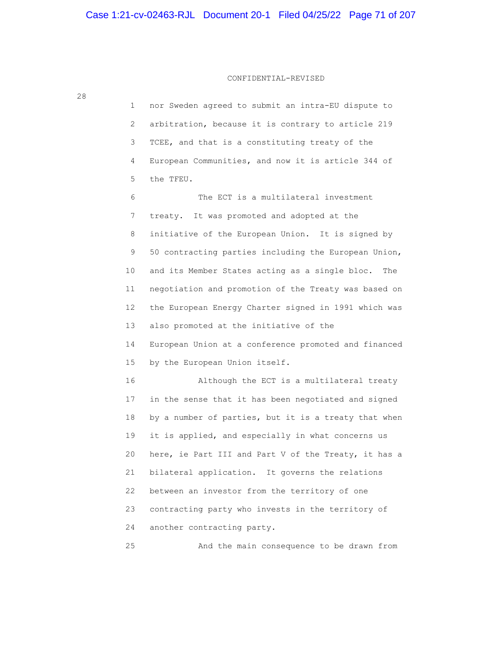1 nor Sweden agreed to submit an intra-EU dispute to 2 arbitration, because it is contrary to article 219 3 TCEE, and that is a constituting treaty of the 4 European Communities, and now it is article 344 of 5 the TFEU. 6 The ECT is a multilateral investment 7 treaty. It was promoted and adopted at the 8 initiative of the European Union. It is signed by 9 50 contracting parties including the European Union, 10 and its Member States acting as a single bloc. The 11 negotiation and promotion of the Treaty was based on 12 the European Energy Charter signed in 1991 which was 13 also promoted at the initiative of the 14 European Union at a conference promoted and financed 15 by the European Union itself. 16 Although the ECT is a multilateral treaty 17 in the sense that it has been negotiated and signed 18 by a number of parties, but it is a treaty that when 19 it is applied, and especially in what concerns us 20 here, ie Part III and Part V of the Treaty, it has a 21 bilateral application. It governs the relations 22 between an investor from the territory of one 23 contracting party who invests in the territory of 24 another contracting party.

25 And the main consequence to be drawn from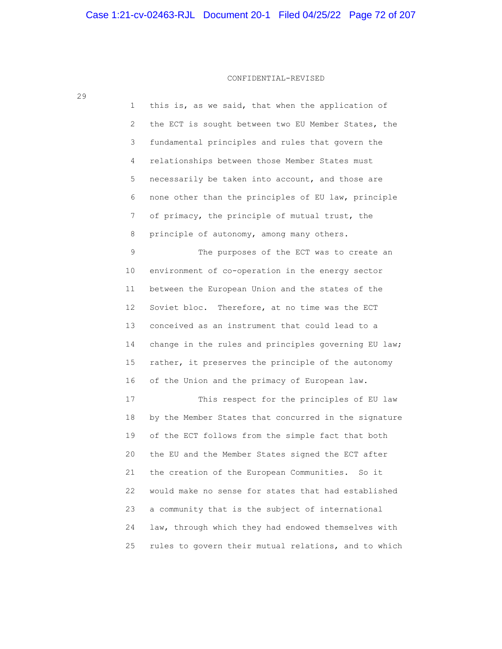29

 1 this is, as we said, that when the application of 2 the ECT is sought between two EU Member States, the 3 fundamental principles and rules that govern the 4 relationships between those Member States must 5 necessarily be taken into account, and those are 6 none other than the principles of EU law, principle 7 of primacy, the principle of mutual trust, the 8 principle of autonomy, among many others.

 9 The purposes of the ECT was to create an 10 environment of co-operation in the energy sector 11 between the European Union and the states of the 12 Soviet bloc. Therefore, at no time was the ECT 13 conceived as an instrument that could lead to a 14 change in the rules and principles governing EU law; 15 rather, it preserves the principle of the autonomy 16 of the Union and the primacy of European law.

 17 This respect for the principles of EU law 18 by the Member States that concurred in the signature 19 of the ECT follows from the simple fact that both 20 the EU and the Member States signed the ECT after 21 the creation of the European Communities. So it 22 would make no sense for states that had established 23 a community that is the subject of international 24 law, through which they had endowed themselves with 25 rules to govern their mutual relations, and to which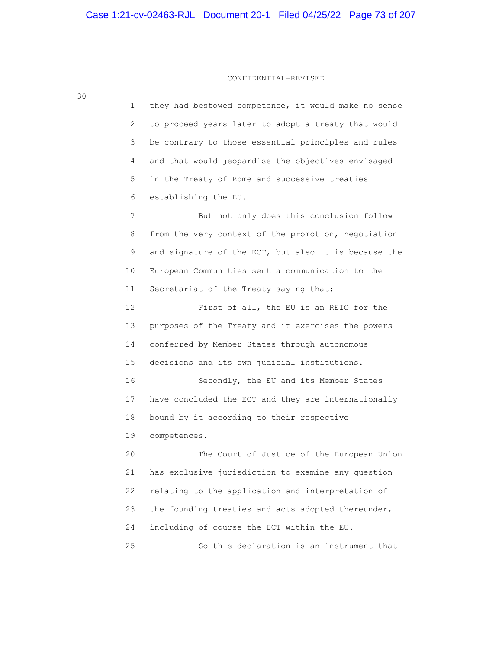1 they had bestowed competence, it would make no sense 2 to proceed years later to adopt a treaty that would 3 be contrary to those essential principles and rules 4 and that would jeopardise the objectives envisaged 5 in the Treaty of Rome and successive treaties 6 establishing the EU. 7 But not only does this conclusion follow 8 from the very context of the promotion, negotiation 9 and signature of the ECT, but also it is because the 10 European Communities sent a communication to the 11 Secretariat of the Treaty saying that: 12 First of all, the EU is an REIO for the 13 purposes of the Treaty and it exercises the powers 14 conferred by Member States through autonomous 15 decisions and its own judicial institutions. 16 Secondly, the EU and its Member States 17 have concluded the ECT and they are internationally 18 bound by it according to their respective 19 competences. 20 The Court of Justice of the European Union 21 has exclusive jurisdiction to examine any question 22 relating to the application and interpretation of 23 the founding treaties and acts adopted thereunder, 24 including of course the ECT within the EU. 25 So this declaration is an instrument that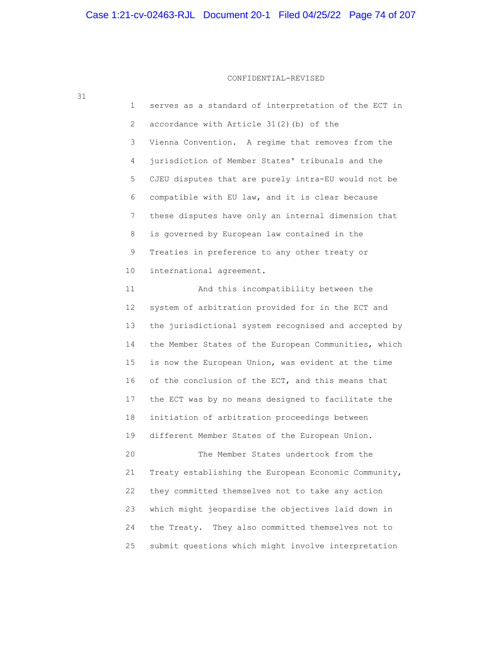CONFIDENTIAL-REVISED

| ◡⊥ |    |                                                      |
|----|----|------------------------------------------------------|
|    | 1  | serves as a standard of interpretation of the ECT in |
|    | 2  | accordance with Article 31(2)(b) of the              |
|    | 3  | Vienna Convention. A regime that removes from the    |
|    | 4  | jurisdiction of Member States' tribunals and the     |
|    | 5  | CJEU disputes that are purely intra-EU would not be  |
|    | 6  | compatible with EU law, and it is clear because      |
|    | 7  | these disputes have only an internal dimension that  |
|    | 8  | is governed by European law contained in the         |
|    | 9  | Treaties in preference to any other treaty or        |
|    | 10 | international agreement.                             |
|    | 11 | And this incompatibility between the                 |
|    | 12 | system of arbitration provided for in the ECT and    |
|    | 13 | the jurisdictional system recognised and accepted by |
|    | 14 | the Member States of the European Communities, which |
|    | 15 | is now the European Union, was evident at the time   |
|    | 16 | of the conclusion of the ECT, and this means that    |
|    | 17 | the ECT was by no means designed to facilitate the   |
|    | 18 | initiation of arbitration proceedings between        |
|    | 19 | different Member States of the European Union.       |
|    | 20 | The Member States undertook from the                 |
|    | 21 | Treaty establishing the European Economic Community, |
|    | 22 | they committed themselves not to take any action     |
|    | 23 | which might jeopardise the objectives laid down in   |
|    | 24 | the Treaty.<br>They also committed themselves not to |
|    | 25 | submit questions which might involve interpretation  |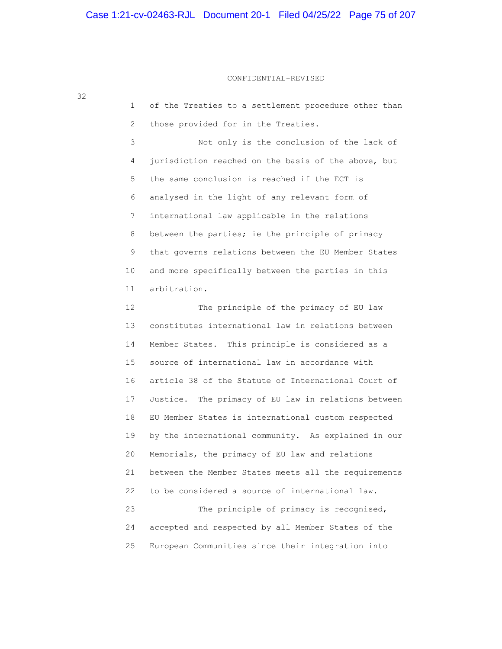# Case 1:21-cv-02463-RJL Document 20-1 Filed 04/25/22 Page 75 of 207

32

# CONFIDENTIAL-REVISED

| 1               | of the Treaties to a settlement procedure other than   |
|-----------------|--------------------------------------------------------|
| 2               | those provided for in the Treaties.                    |
| 3               | Not only is the conclusion of the lack of              |
| 4               | jurisdiction reached on the basis of the above, but    |
| 5               | the same conclusion is reached if the ECT is           |
| 6               | analysed in the light of any relevant form of          |
| 7               | international law applicable in the relations          |
| 8               | between the parties; ie the principle of primacy       |
| 9               | that governs relations between the EU Member States    |
| 10              | and more specifically between the parties in this      |
| 11              | arbitration.                                           |
| 12 <sup>°</sup> | The principle of the primacy of EU law                 |
| 13              | constitutes international law in relations between     |
| 14              | Member States. This principle is considered as a       |
| 15              | source of international law in accordance with         |
| 16              | article 38 of the Statute of International Court of    |
| 17              | The primacy of EU law in relations between<br>Justice. |
| 18              | EU Member States is international custom respected     |
| 19              | by the international community. As explained in our    |
| 20              | Memorials, the primacy of EU law and relations         |
| 21              | between the Member States meets all the requirements   |
| 22              | to be considered a source of international law.        |
| 23              | The principle of primacy is recognised,                |
| 24              | accepted and respected by all Member States of the     |
| 25              | European Communities since their integration into      |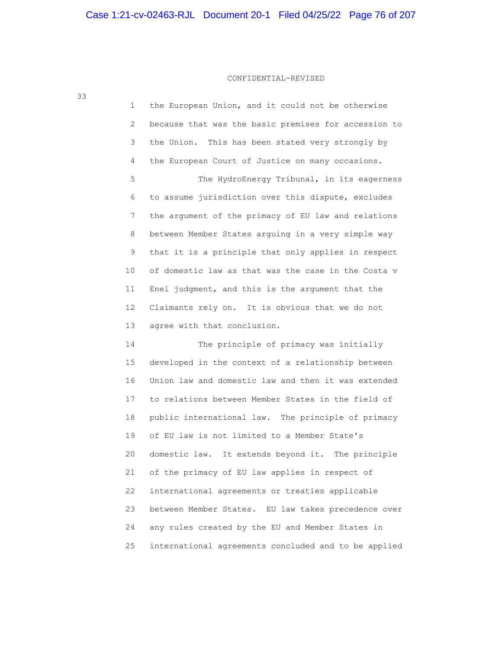# CONFIDENTIAL-REVISED

| 1  | the European Union, and it could not be otherwise    |
|----|------------------------------------------------------|
| 2  | because that was the basic premises for accession to |
| 3  | the Union. This has been stated very strongly by     |
| 4  | the European Court of Justice on many occasions.     |
| 5  | The HydroEnergy Tribunal, in its eagerness           |
| 6  | to assume jurisdiction over this dispute, excludes   |
| 7  | the argument of the primacy of EU law and relations  |
| 8  | between Member States arguing in a very simple way   |
| 9  | that it is a principle that only applies in respect  |
| 10 | of domestic law as that was the case in the Costa v  |
| 11 | Enel judgment, and this is the argument that the     |
| 12 | Claimants rely on. It is obvious that we do not      |
| 13 | agree with that conclusion.                          |
| 14 | The principle of primacy was initially               |
| 15 | developed in the context of a relationship between   |
| 16 | Union law and domestic law and then it was extended  |
| 17 | to relations between Member States in the field of   |
| 18 | public international law. The principle of primacy   |
| 19 | of EU law is not limited to a Member State's         |
| 20 | domestic law. It extends beyond it. The principle    |
| 21 | of the primacy of EU law applies in respect of       |
| 22 | international agreements or treaties applicable      |
| 23 | between Member States. EU law takes precedence over  |
| 24 | any rules created by the EU and Member States in     |

25 international agreements concluded and to be applied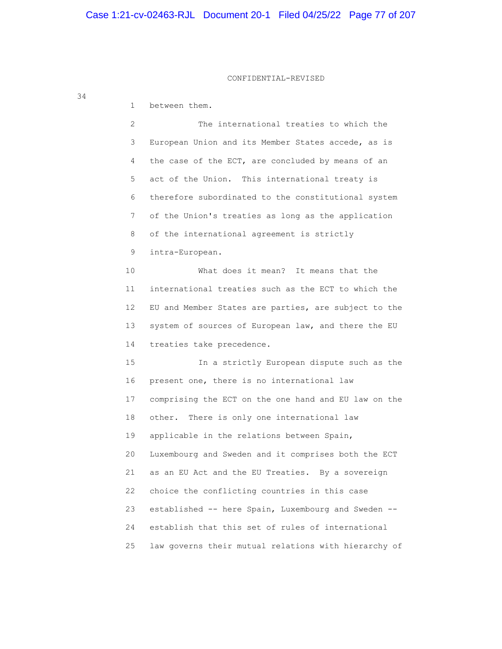1 between them. 2 The international treaties to which the 3 European Union and its Member States accede, as is 4 the case of the ECT, are concluded by means of an 5 act of the Union. This international treaty is 6 therefore subordinated to the constitutional system 7 of the Union's treaties as long as the application 8 of the international agreement is strictly 9 intra-European. 10 What does it mean? It means that the 11 international treaties such as the ECT to which the 12 EU and Member States are parties, are subject to the 13 system of sources of European law, and there the EU 14 treaties take precedence. 15 In a strictly European dispute such as the 16 present one, there is no international law 17 comprising the ECT on the one hand and EU law on the 18 other. There is only one international law 19 applicable in the relations between Spain, 20 Luxembourg and Sweden and it comprises both the ECT 21 as an EU Act and the EU Treaties. By a sovereign 22 choice the conflicting countries in this case 23 established -- here Spain, Luxembourg and Sweden -- 24 establish that this set of rules of international

25 law governs their mutual relations with hierarchy of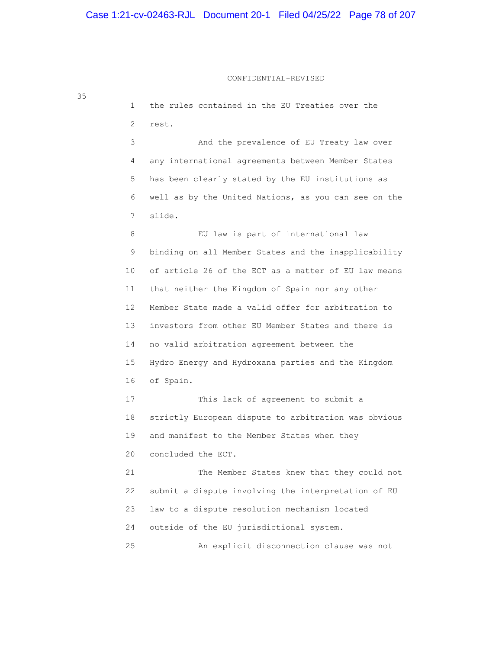# CONFIDENTIAL-REVISED

| 35 | $\mathbf 1$    | the rules contained in the EU Treaties over the      |
|----|----------------|------------------------------------------------------|
|    | $\overline{2}$ | rest.                                                |
|    | 3              | And the prevalence of EU Treaty law over             |
|    | 4              | any international agreements between Member States   |
|    | 5              | has been clearly stated by the EU institutions as    |
|    | 6              | well as by the United Nations, as you can see on the |
|    | 7              | slide.                                               |
|    | 8              | EU law is part of international law                  |
|    | 9              | binding on all Member States and the inapplicability |
|    | 10             | of article 26 of the ECT as a matter of EU law means |
|    | 11             | that neither the Kingdom of Spain nor any other      |
|    | 12             | Member State made a valid offer for arbitration to   |
|    | 13             | investors from other EU Member States and there is   |
|    | 14             | no valid arbitration agreement between the           |
|    | 15             | Hydro Energy and Hydroxana parties and the Kingdom   |
|    | 16             | of Spain.                                            |
|    | 17             | This lack of agreement to submit a                   |
|    | 18             | strictly European dispute to arbitration was obvious |
|    | 19             | and manifest to the Member States when they          |
|    | 20             | concluded the ECT.                                   |
|    | 21             | The Member States knew that they could not           |
|    | 22             | submit a dispute involving the interpretation of EU  |
|    | 23             | law to a dispute resolution mechanism located        |
|    | 24             | outside of the EU jurisdictional system.             |
|    | 25             | An explicit disconnection clause was not             |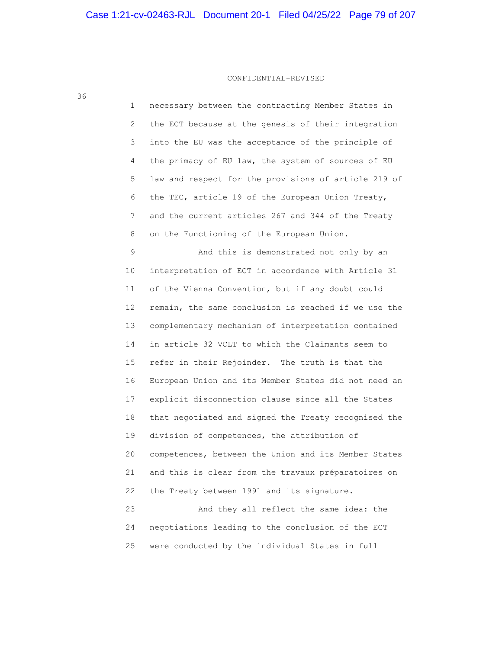36

 1 necessary between the contracting Member States in 2 the ECT because at the genesis of their integration 3 into the EU was the acceptance of the principle of 4 the primacy of EU law, the system of sources of EU 5 law and respect for the provisions of article 219 of 6 the TEC, article 19 of the European Union Treaty, 7 and the current articles 267 and 344 of the Treaty 8 on the Functioning of the European Union.

 9 And this is demonstrated not only by an 10 interpretation of ECT in accordance with Article 31 11 of the Vienna Convention, but if any doubt could 12 remain, the same conclusion is reached if we use the 13 complementary mechanism of interpretation contained 14 in article 32 VCLT to which the Claimants seem to 15 refer in their Rejoinder. The truth is that the 16 European Union and its Member States did not need an 17 explicit disconnection clause since all the States 18 that negotiated and signed the Treaty recognised the 19 division of competences, the attribution of 20 competences, between the Union and its Member States 21 and this is clear from the travaux préparatoires on 22 the Treaty between 1991 and its signature. 23 And they all reflect the same idea: the

 24 negotiations leading to the conclusion of the ECT 25 were conducted by the individual States in full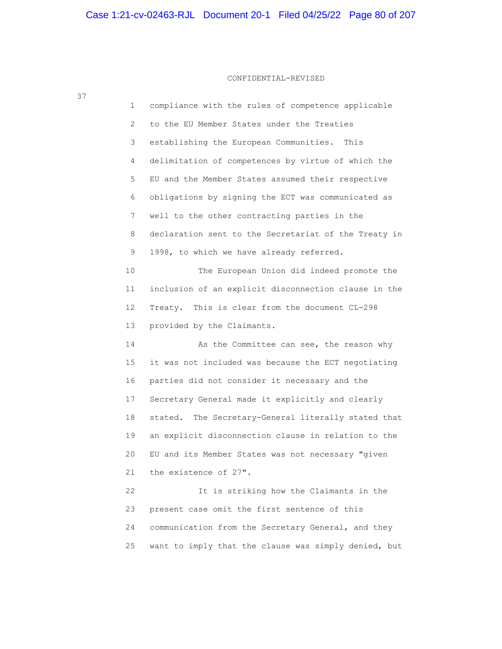| 1  | compliance with the rules of competence applicable     |
|----|--------------------------------------------------------|
| 2  | to the EU Member States under the Treaties             |
| 3  | establishing the European Communities. This            |
| 4  | delimitation of competences by virtue of which the     |
| 5  | EU and the Member States assumed their respective      |
| 6  | obligations by signing the ECT was communicated as     |
| 7  | well to the other contracting parties in the           |
| 8  | declaration sent to the Secretariat of the Treaty in   |
| 9  | 1998, to which we have already referred.               |
| 10 | The European Union did indeed promote the              |
| 11 | inclusion of an explicit disconnection clause in the   |
| 12 | Treaty. This is clear from the document CL-298         |
| 13 | provided by the Claimants.                             |
| 14 | As the Committee can see, the reason why               |
| 15 | it was not included was because the ECT negotiating    |
| 16 | parties did not consider it necessary and the          |
| 17 | Secretary General made it explicitly and clearly       |
| 18 | The Secretary-General literally stated that<br>stated. |
| 19 | an explicit disconnection clause in relation to the    |
| 20 | EU and its Member States was not necessary "given      |
| 21 | the existence of 27".                                  |
| 22 | It is striking how the Claimants in the                |
| 23 | present case omit the first sentence of this           |
| 24 | communication from the Secretary General, and they     |
| 25 | want to imply that the clause was simply denied, but   |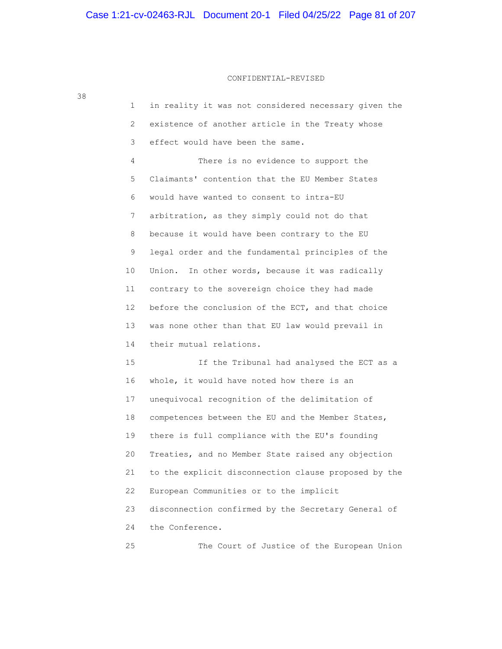# CONFIDENTIAL-REVISED

| ı               | in reality it was not considered necessary given the |
|-----------------|------------------------------------------------------|
| 2               | existence of another article in the Treaty whose     |
| 3               | effect would have been the same.                     |
| 4               | There is no evidence to support the                  |
| 5               | Claimants' contention that the EU Member States      |
| 6               | would have wanted to consent to intra-EU             |
| 7               | arbitration, as they simply could not do that        |
| 8               | because it would have been contrary to the EU        |
| 9               | legal order and the fundamental principles of the    |
| 10              | Union. In other words, because it was radically      |
| 11              | contrary to the sovereign choice they had made       |
| 12 <sup>°</sup> | before the conclusion of the ECT, and that choice    |
| 13              | was none other than that EU law would prevail in     |
| 14              | their mutual relations.                              |
| 15              | If the Tribunal had analysed the ECT as a            |
| 16              | whole, it would have noted how there is an           |
| 17              | unequivocal recognition of the delimitation of       |
| 18              | competences between the EU and the Member States,    |
| 19              | there is full compliance with the EU's founding      |
| 20              | Treaties, and no Member State raised any objection   |
| 21              | to the explicit disconnection clause proposed by the |
| 22              | European Communities or to the implicit              |
| 23              | disconnection confirmed by the Secretary General of  |
| 24              | the Conference.                                      |
|                 |                                                      |

25 The Court of Justice of the European Union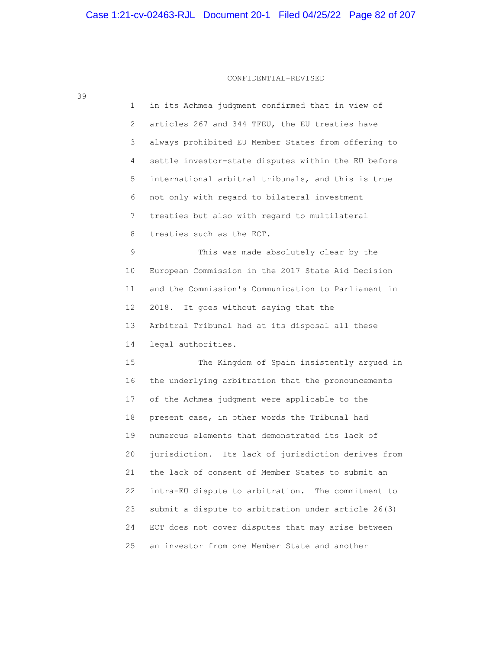| 1               | in its Achmea judgment confirmed that in view of    |
|-----------------|-----------------------------------------------------|
| 2               | articles 267 and 344 TFEU, the EU treaties have     |
| 3               | always prohibited EU Member States from offering to |
| 4               | settle investor-state disputes within the EU before |
| 5               | international arbitral tribunals, and this is true  |
| 6               | not only with regard to bilateral investment        |
| 7               | treaties but also with regard to multilateral       |
| 8               | treaties such as the ECT.                           |
| 9               | This was made absolutely clear by the               |
| 10              | European Commission in the 2017 State Aid Decision  |
| 11              | and the Commission's Communication to Parliament in |
| 12 <sup>°</sup> | 2018. It goes without saying that the               |
| 13              | Arbitral Tribunal had at its disposal all these     |
| 14              | legal authorities.                                  |
| 15              | The Kingdom of Spain insistently argued in          |
| 16              | the underlying arbitration that the pronouncements  |
| 17              | of the Achmea judgment were applicable to the       |
| 18              | present case, in other words the Tribunal had       |
| 19              | numerous elements that demonstrated its lack of     |
| 20              | jurisdiction. Its lack of jurisdiction derives from |
| 21              | the lack of consent of Member States to submit an   |
| 22              | intra-EU dispute to arbitration. The commitment to  |
| 23              | submit a dispute to arbitration under article 26(3) |
| 24              | ECT does not cover disputes that may arise between  |
| 25              | an investor from one Member State and another       |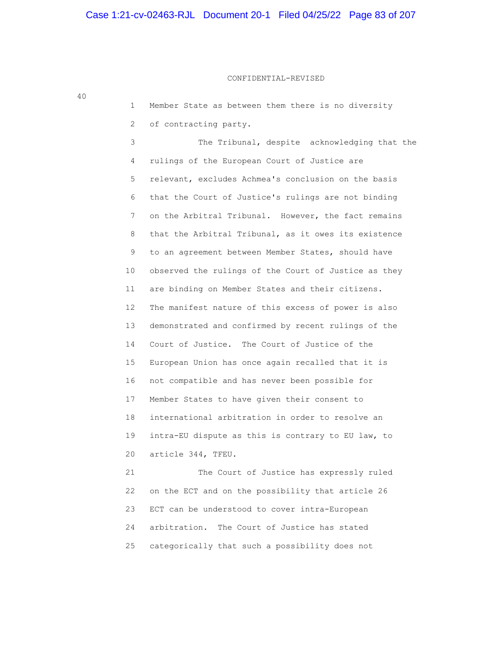40

 1 Member State as between them there is no diversity 2 of contracting party. 3 The Tribunal, despite acknowledging that the 4 rulings of the European Court of Justice are 5 relevant, excludes Achmea's conclusion on the basis 6 that the Court of Justice's rulings are not binding 7 on the Arbitral Tribunal. However, the fact remains 8 that the Arbitral Tribunal, as it owes its existence 9 to an agreement between Member States, should have 10 observed the rulings of the Court of Justice as they 11 are binding on Member States and their citizens. 12 The manifest nature of this excess of power is also 13 demonstrated and confirmed by recent rulings of the 14 Court of Justice. The Court of Justice of the 15 European Union has once again recalled that it is 16 not compatible and has never been possible for 17 Member States to have given their consent to 18 international arbitration in order to resolve an 19 intra-EU dispute as this is contrary to EU law, to 20 article 344, TFEU. 21 The Court of Justice has expressly ruled

 22 on the ECT and on the possibility that article 26 23 ECT can be understood to cover intra-European 24 arbitration. The Court of Justice has stated 25 categorically that such a possibility does not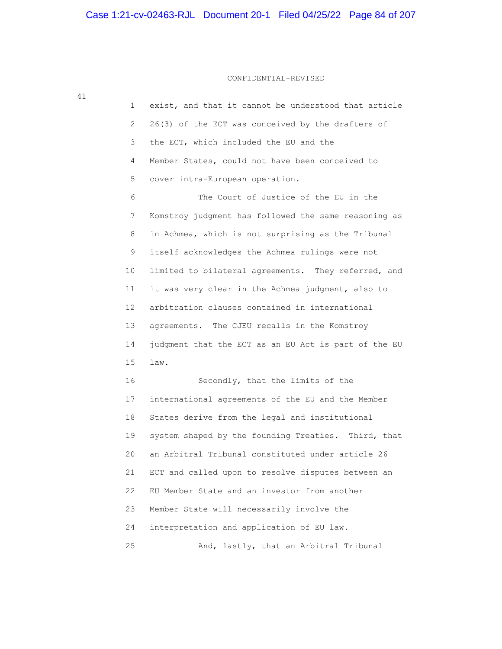| 41 |                       |                                                      |
|----|-----------------------|------------------------------------------------------|
|    | $\mathbf 1$           | exist, and that it cannot be understood that article |
|    | $\mathbf{2}^{\prime}$ | 26(3) of the ECT was conceived by the drafters of    |
|    | 3                     | the ECT, which included the EU and the               |
|    | 4                     | Member States, could not have been conceived to      |
|    | 5                     | cover intra-European operation.                      |
|    | 6                     | The Court of Justice of the EU in the                |
|    | 7                     | Komstroy judgment has followed the same reasoning as |
|    | 8                     | in Achmea, which is not surprising as the Tribunal   |
|    | 9                     | itself acknowledges the Achmea rulings were not      |
|    | 10 <sub>o</sub>       | limited to bilateral agreements. They referred, and  |
|    | 11                    | it was very clear in the Achmea judgment, also to    |
|    | 12 <sup>°</sup>       | arbitration clauses contained in international       |
|    | 13                    | agreements. The CJEU recalls in the Komstroy         |
|    | 14                    | judgment that the ECT as an EU Act is part of the EU |
|    | 15                    | law.                                                 |
|    | 16                    | Secondly, that the limits of the                     |
|    | 17                    | international agreements of the EU and the Member    |
|    | 18                    | States derive from the legal and institutional       |
|    | 19                    | system shaped by the founding Treaties. Third, that  |
|    | 20                    | an Arbitral Tribunal constituted under article 26    |
|    | 21                    | ECT and called upon to resolve disputes between an   |
|    | 22                    | EU Member State and an investor from another         |
|    | 23                    | Member State will necessarily involve the            |
|    | 24                    | interpretation and application of EU law.            |
|    | 25                    | And, lastly, that an Arbitral Tribunal               |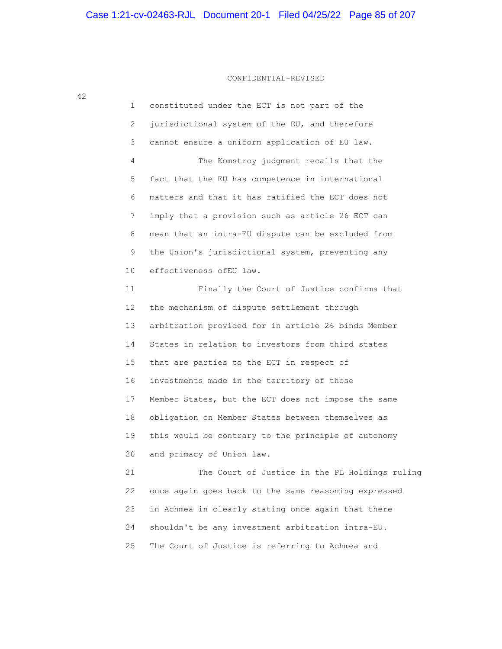1 constituted under the ECT is not part of the 2 jurisdictional system of the EU, and therefore 3 cannot ensure a uniform application of EU law. 4 The Komstroy judgment recalls that the 5 fact that the EU has competence in international 6 matters and that it has ratified the ECT does not 7 imply that a provision such as article 26 ECT can 8 mean that an intra-EU dispute can be excluded from 9 the Union's jurisdictional system, preventing any 10 effectiveness ofEU law. 11 Finally the Court of Justice confirms that 12 the mechanism of dispute settlement through 13 arbitration provided for in article 26 binds Member 14 States in relation to investors from third states 15 that are parties to the ECT in respect of 16 investments made in the territory of those 17 Member States, but the ECT does not impose the same 18 obligation on Member States between themselves as 19 this would be contrary to the principle of autonomy 20 and primacy of Union law. 21 The Court of Justice in the PL Holdings ruling 22 once again goes back to the same reasoning expressed 23 in Achmea in clearly stating once again that there 24 shouldn't be any investment arbitration intra-EU.

25 The Court of Justice is referring to Achmea and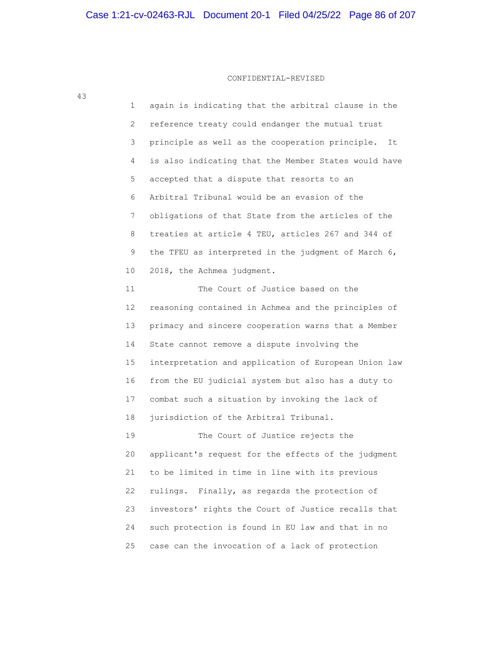| 43 | 1  | again is indicating that the arbitral clause in the   |
|----|----|-------------------------------------------------------|
|    | 2  | reference treaty could endanger the mutual trust      |
|    | 3  | principle as well as the cooperation principle.<br>It |
|    | 4  | is also indicating that the Member States would have  |
|    | 5  | accepted that a dispute that resorts to an            |
|    | 6  | Arbitral Tribunal would be an evasion of the          |
|    | 7  | obligations of that State from the articles of the    |
|    | 8  | treaties at article 4 TEU, articles 267 and 344 of    |
|    | 9  | the TFEU as interpreted in the judgment of March 6,   |
|    | 10 | 2018, the Achmea judgment.                            |
|    | 11 | The Court of Justice based on the                     |
|    | 12 | reasoning contained in Achmea and the principles of   |
|    | 13 | primacy and sincere cooperation warns that a Member   |
|    | 14 | State cannot remove a dispute involving the           |
|    | 15 | interpretation and application of European Union law  |
|    | 16 | from the EU judicial system but also has a duty to    |
|    | 17 | combat such a situation by invoking the lack of       |
|    | 18 | jurisdiction of the Arbitral Tribunal.                |
|    | 19 | The Court of Justice rejects the                      |
|    | 20 | applicant's request for the effects of the judgment   |
|    | 21 | to be limited in time in line with its previous       |
|    | 22 | Finally, as regards the protection of<br>rulings.     |
|    | 23 | investors' rights the Court of Justice recalls that   |
|    | 24 | such protection is found in EU law and that in no     |
|    | 25 | case can the invocation of a lack of protection       |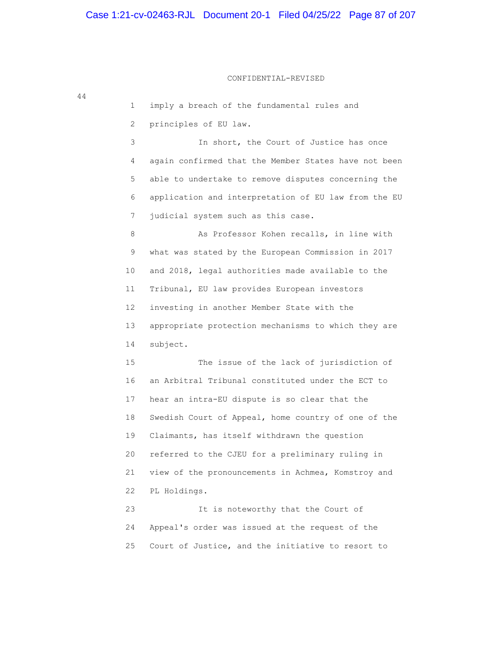## CONFIDENTIAL-REVISED

 1 imply a breach of the fundamental rules and 2 principles of EU law. 3 In short, the Court of Justice has once 4 again confirmed that the Member States have not been 5 able to undertake to remove disputes concerning the 6 application and interpretation of EU law from the EU 7 judicial system such as this case. 8 As Professor Kohen recalls, in line with 9 what was stated by the European Commission in 2017 10 and 2018, legal authorities made available to the 11 Tribunal, EU law provides European investors 12 investing in another Member State with the 13 appropriate protection mechanisms to which they are 14 subject. 15 The issue of the lack of jurisdiction of 16 an Arbitral Tribunal constituted under the ECT to 17 hear an intra-EU dispute is so clear that the 18 Swedish Court of Appeal, home country of one of the 19 Claimants, has itself withdrawn the question 20 referred to the CJEU for a preliminary ruling in 21 view of the pronouncements in Achmea, Komstroy and 22 PL Holdings. 23 It is noteworthy that the Court of 24 Appeal's order was issued at the request of the 25 Court of Justice, and the initiative to resort to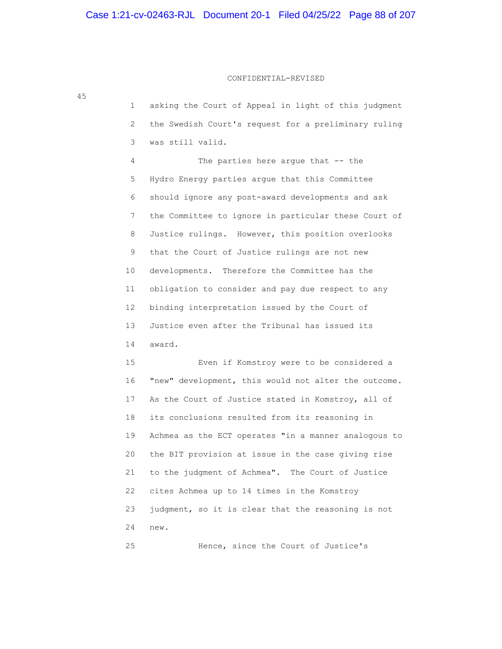# CONFIDENTIAL-REVISED

| 45 |                       |                                                      |
|----|-----------------------|------------------------------------------------------|
|    | 1                     | asking the Court of Appeal in light of this judgment |
|    | $\mathbf{2}^{\prime}$ | the Swedish Court's request for a preliminary ruling |
|    | 3                     | was still valid.                                     |
|    | 4                     | The parties here argue that -- the                   |
|    | 5                     | Hydro Energy parties argue that this Committee       |
|    | 6                     | should ignore any post-award developments and ask    |
|    | 7                     | the Committee to ignore in particular these Court of |
|    | 8                     | Justice rulings. However, this position overlooks    |
|    | 9                     | that the Court of Justice rulings are not new        |
|    | 10                    | developments. Therefore the Committee has the        |
|    | 11                    | obligation to consider and pay due respect to any    |
|    | 12                    | binding interpretation issued by the Court of        |
|    | 13                    | Justice even after the Tribunal has issued its       |
|    | 14                    | award.                                               |
|    | 15                    | Even if Komstroy were to be considered a             |
|    | 16                    | "new" development, this would not alter the outcome. |
|    | 17                    | As the Court of Justice stated in Komstroy, all of   |
|    | 18                    | its conclusions resulted from its reasoning in       |
|    | 19                    | Achmea as the ECT operates "in a manner analogous to |
|    | 20                    | the BIT provision at issue in the case giving rise   |
|    | 21                    | to the judgment of Achmea". The Court of Justice     |
|    | 22                    | cites Achmea up to 14 times in the Komstroy          |
|    | 23                    | judgment, so it is clear that the reasoning is not   |
|    | 24                    | new.                                                 |
|    | 25                    | Hence, since the Court of Justice's                  |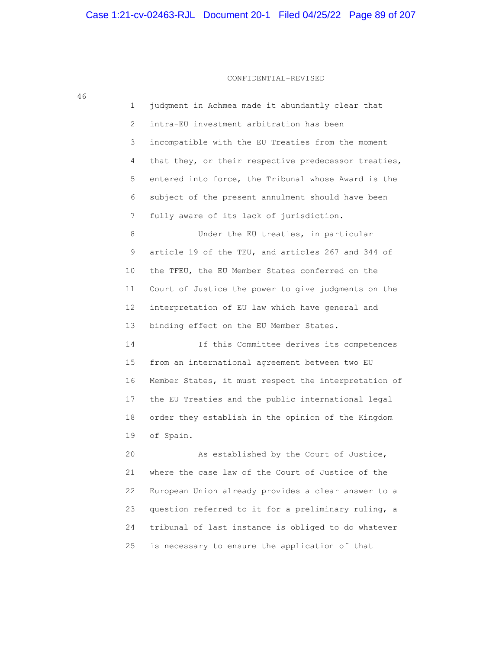1 judgment in Achmea made it abundantly clear that 2 intra-EU investment arbitration has been 3 incompatible with the EU Treaties from the moment 4 that they, or their respective predecessor treaties, 5 entered into force, the Tribunal whose Award is the 6 subject of the present annulment should have been 7 fully aware of its lack of jurisdiction. 8 Under the EU treaties, in particular 9 article 19 of the TEU, and articles 267 and 344 of 10 the TFEU, the EU Member States conferred on the 11 Court of Justice the power to give judgments on the 12 interpretation of EU law which have general and 13 binding effect on the EU Member States. 14 If this Committee derives its competences 15 from an international agreement between two EU 16 Member States, it must respect the interpretation of 17 the EU Treaties and the public international legal 18 order they establish in the opinion of the Kingdom 19 of Spain. 20 As established by the Court of Justice, 21 where the case law of the Court of Justice of the 22 European Union already provides a clear answer to a

 23 question referred to it for a preliminary ruling, a 24 tribunal of last instance is obliged to do whatever 25 is necessary to ensure the application of that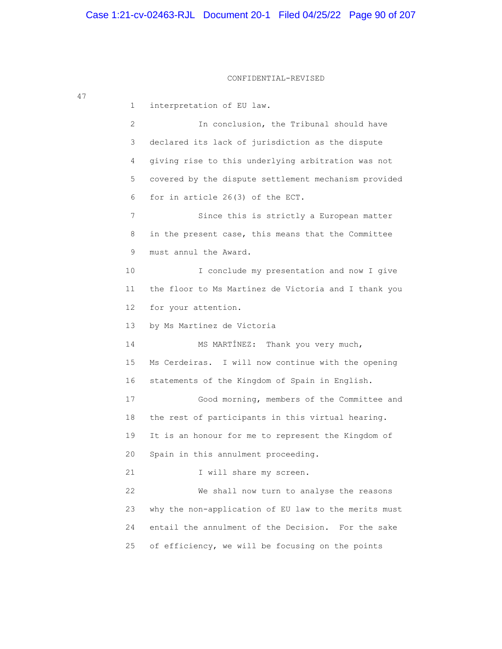#### CONFIDENTIAL-REVISED

 1 interpretation of EU law. 2 In conclusion, the Tribunal should have 3 declared its lack of jurisdiction as the dispute 4 giving rise to this underlying arbitration was not 5 covered by the dispute settlement mechanism provided 6 for in article 26(3) of the ECT. 7 Since this is strictly a European matter 8 in the present case, this means that the Committee 9 must annul the Award. 10 I conclude my presentation and now I give 11 the floor to Ms Martínez de Victoria and I thank you 12 for your attention. 13 by Ms Martínez de Victoria 14 MS MARTÍNEZ: Thank you very much, 15 Ms Cerdeiras. I will now continue with the opening 16 statements of the Kingdom of Spain in English. 17 Good morning, members of the Committee and 18 the rest of participants in this virtual hearing. 19 It is an honour for me to represent the Kingdom of 20 Spain in this annulment proceeding. 21 I will share my screen. 22 We shall now turn to analyse the reasons 23 why the non-application of EU law to the merits must 24 entail the annulment of the Decision. For the sake 25 of efficiency, we will be focusing on the points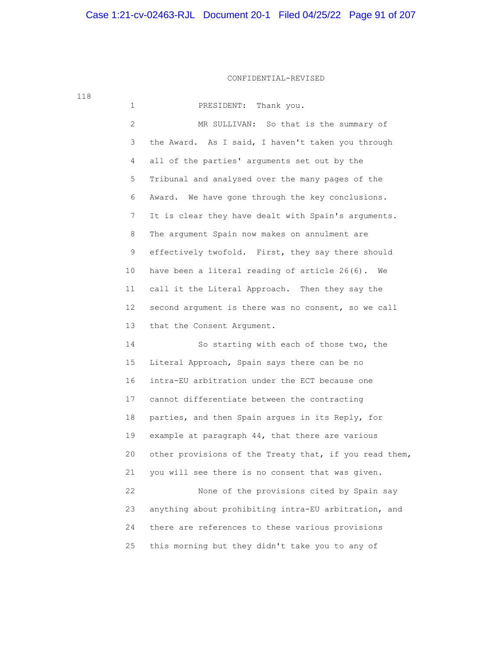# Case 1:21-cv-02463-RJL Document 20-1 Filed 04/25/22 Page 91 of 207

## CONFIDENTIAL-REVISED

 1 PRESIDENT: Thank you. 2 MR SULLIVAN: So that is the summary of 3 the Award. As I said, I haven't taken you through 4 all of the parties' arguments set out by the 5 Tribunal and analysed over the many pages of the 6 Award. We have gone through the key conclusions. 7 It is clear they have dealt with Spain's arguments. 8 The argument Spain now makes on annulment are 9 effectively twofold. First, they say there should 10 have been a literal reading of article 26(6). We 11 call it the Literal Approach. Then they say the 12 second argument is there was no consent, so we call 13 that the Consent Argument. 14 So starting with each of those two, the

 15 Literal Approach, Spain says there can be no 16 intra-EU arbitration under the ECT because one 17 cannot differentiate between the contracting 18 parties, and then Spain argues in its Reply, for 19 example at paragraph 44, that there are various 20 other provisions of the Treaty that, if you read them, 21 you will see there is no consent that was given. 22 None of the provisions cited by Spain say 23 anything about prohibiting intra-EU arbitration, and 24 there are references to these various provisions 25 this morning but they didn't take you to any of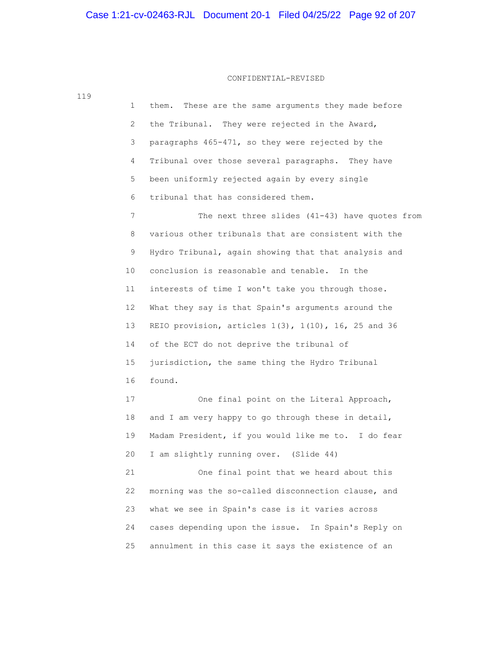## CONFIDENTIAL-REVISED

 1 them. These are the same arguments they made before 2 the Tribunal. They were rejected in the Award, 3 paragraphs 465-471, so they were rejected by the 4 Tribunal over those several paragraphs. They have 5 been uniformly rejected again by every single 6 tribunal that has considered them. 7 The next three slides (41-43) have quotes from 8 various other tribunals that are consistent with the 9 Hydro Tribunal, again showing that that analysis and 10 conclusion is reasonable and tenable. In the 11 interests of time I won't take you through those. 12 What they say is that Spain's arguments around the 13 REIO provision, articles 1(3), 1(10), 16, 25 and 36 14 of the ECT do not deprive the tribunal of 15 jurisdiction, the same thing the Hydro Tribunal 16 found. 17 One final point on the Literal Approach, 18 and I am very happy to go through these in detail, 19 Madam President, if you would like me to. I do fear 20 I am slightly running over. (Slide 44) 21 One final point that we heard about this 22 morning was the so-called disconnection clause, and 23 what we see in Spain's case is it varies across 24 cases depending upon the issue. In Spain's Reply on 25 annulment in this case it says the existence of an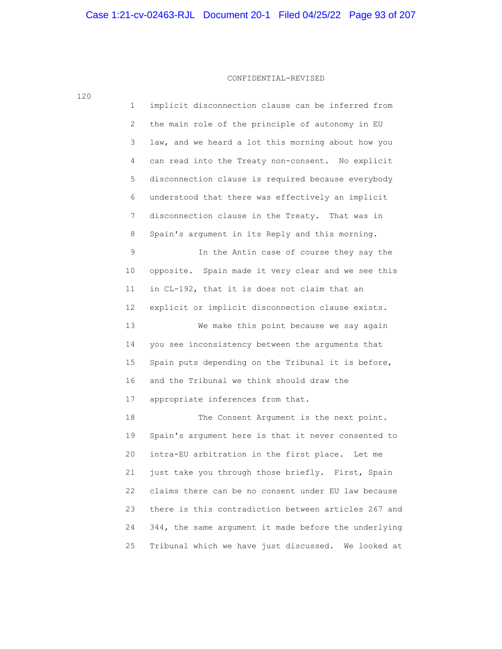120

 1 implicit disconnection clause can be inferred from 2 the main role of the principle of autonomy in EU 3 law, and we heard a lot this morning about how you 4 can read into the Treaty non-consent. No explicit 5 disconnection clause is required because everybody 6 understood that there was effectively an implicit 7 disconnection clause in the Treaty. That was in 8 Spain's argument in its Reply and this morning. 9 In the Antin case of course they say the 10 opposite. Spain made it very clear and we see this 11 in CL-192, that it is does not claim that an 12 explicit or implicit disconnection clause exists. 13 We make this point because we say again 14 you see inconsistency between the arguments that 15 Spain puts depending on the Tribunal it is before, 16 and the Tribunal we think should draw the 17 appropriate inferences from that. 18 The Consent Argument is the next point. 19 Spain's argument here is that it never consented to 20 intra-EU arbitration in the first place. Let me 21 just take you through those briefly. First, Spain 22 claims there can be no consent under EU law because 23 there is this contradiction between articles 267 and 24 344, the same argument it made before the underlying 25 Tribunal which we have just discussed. We looked at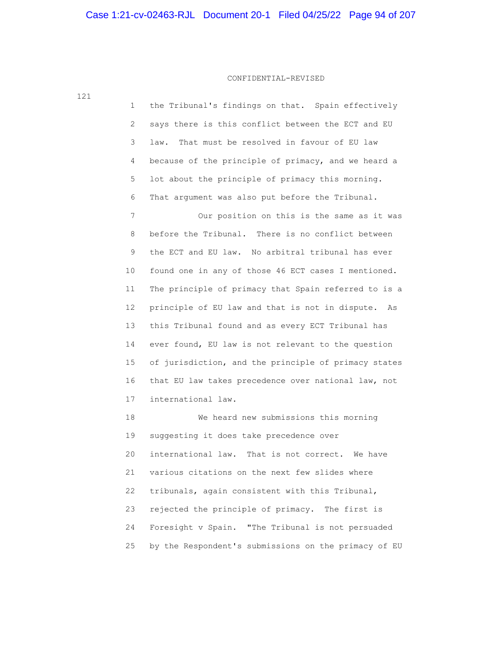| 121 | $\mathbf 1$ | the Tribunal's findings on that. Spain effectively   |
|-----|-------------|------------------------------------------------------|
|     | 2           | says there is this conflict between the ECT and EU   |
|     | 3           | That must be resolved in favour of EU law<br>law.    |
|     | 4           | because of the principle of primacy, and we heard a  |
|     | 5           | lot about the principle of primacy this morning.     |
|     | 6           | That argument was also put before the Tribunal.      |
|     | 7           | Our position on this is the same as it was           |
|     | 8           | before the Tribunal. There is no conflict between    |
|     | 9           | the ECT and EU law. No arbitral tribunal has ever    |
|     | 10          | found one in any of those 46 ECT cases I mentioned.  |
|     | 11          | The principle of primacy that Spain referred to is a |
|     | 12          | principle of EU law and that is not in dispute. As   |
|     | 13          | this Tribunal found and as every ECT Tribunal has    |
|     | 14          | ever found, EU law is not relevant to the question   |
|     | 15          | of jurisdiction, and the principle of primacy states |
|     | 16          | that EU law takes precedence over national law, not  |
|     | 17          | international law.                                   |
|     | 18          | We heard new submissions this morning                |
|     | 19          | suggesting it does take precedence over              |
|     | 20          | international law. That is not correct.<br>We have   |
|     |             |                                                      |

 21 various citations on the next few slides where 22 tribunals, again consistent with this Tribunal, 23 rejected the principle of primacy. The first is 24 Foresight v Spain. "The Tribunal is not persuaded 25 by the Respondent's submissions on the primacy of EU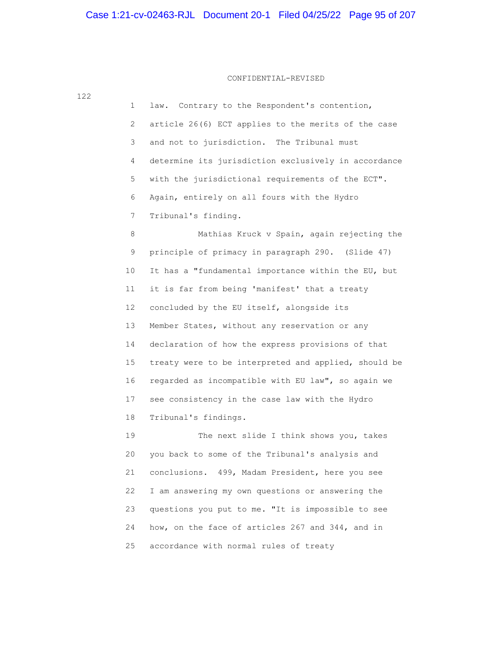1 law. Contrary to the Respondent's contention, 2 article 26(6) ECT applies to the merits of the case 3 and not to jurisdiction. The Tribunal must 4 determine its jurisdiction exclusively in accordance 5 with the jurisdictional requirements of the ECT". 6 Again, entirely on all fours with the Hydro 7 Tribunal's finding. 8 Mathias Kruck v Spain, again rejecting the 9 principle of primacy in paragraph 290. (Slide 47) 10 It has a "fundamental importance within the EU, but 11 it is far from being 'manifest' that a treaty 12 concluded by the EU itself, alongside its 13 Member States, without any reservation or any 14 declaration of how the express provisions of that 15 treaty were to be interpreted and applied, should be 16 regarded as incompatible with EU law", so again we 17 see consistency in the case law with the Hydro 18 Tribunal's findings.

 19 The next slide I think shows you, takes 20 you back to some of the Tribunal's analysis and 21 conclusions. 499, Madam President, here you see 22 I am answering my own questions or answering the 23 questions you put to me. "It is impossible to see 24 how, on the face of articles 267 and 344, and in 25 accordance with normal rules of treaty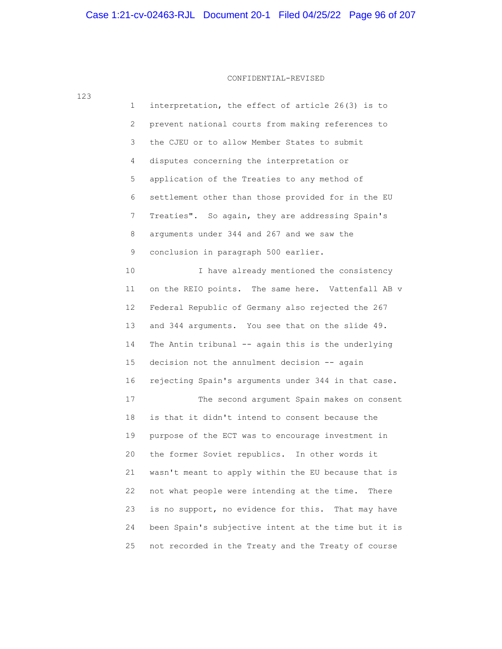#### CONFIDENTIAL-REVISED

 1 interpretation, the effect of article 26(3) is to 2 prevent national courts from making references to 3 the CJEU or to allow Member States to submit 4 disputes concerning the interpretation or 5 application of the Treaties to any method of 6 settlement other than those provided for in the EU 7 Treaties". So again, they are addressing Spain's 8 arguments under 344 and 267 and we saw the 9 conclusion in paragraph 500 earlier. 10 I have already mentioned the consistency 11 on the REIO points. The same here. Vattenfall AB v 12 Federal Republic of Germany also rejected the 267 13 and 344 arguments. You see that on the slide 49. 14 The Antin tribunal -- again this is the underlying 15 decision not the annulment decision -- again 16 rejecting Spain's arguments under 344 in that case. 17 The second argument Spain makes on consent 18 is that it didn't intend to consent because the 19 purpose of the ECT was to encourage investment in 20 the former Soviet republics. In other words it 21 wasn't meant to apply within the EU because that is 22 not what people were intending at the time. There 23 is no support, no evidence for this. That may have 24 been Spain's subjective intent at the time but it is 25 not recorded in the Treaty and the Treaty of course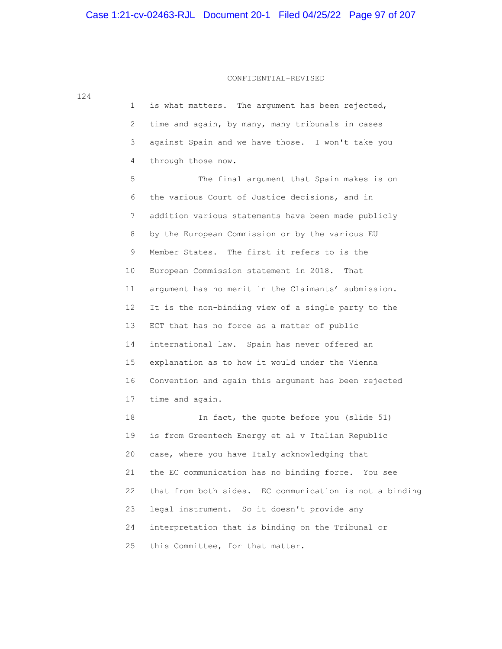| 124 |                       |                                                         |
|-----|-----------------------|---------------------------------------------------------|
|     | 1                     | is what matters. The argument has been rejected,        |
|     | $\mathbf{2}^{\prime}$ | time and again, by many, many tribunals in cases        |
|     | 3                     | against Spain and we have those. I won't take you       |
|     | 4                     | through those now.                                      |
|     | 5                     | The final argument that Spain makes is on               |
|     | 6                     | the various Court of Justice decisions, and in          |
|     | 7                     | addition various statements have been made publicly     |
|     | 8                     | by the European Commission or by the various EU         |
|     | 9                     | Member States. The first it refers to is the            |
|     | 10 <sub>1</sub>       | European Commission statement in 2018. That             |
|     | 11                    | argument has no merit in the Claimants' submission.     |
|     | 12 <sup>°</sup>       | It is the non-binding view of a single party to the     |
|     | 13 <sup>°</sup>       | ECT that has no force as a matter of public             |
|     | 14                    | international law. Spain has never offered an           |
|     | 15                    | explanation as to how it would under the Vienna         |
|     | 16                    | Convention and again this argument has been rejected    |
|     | 17                    | time and again.                                         |
|     | 18                    | In fact, the quote before you (slide 51)                |
|     | 19                    | is from Greentech Energy et al v Italian Republic       |
|     | 20                    | case, where you have Italy acknowledging that           |
|     | 21                    | the EC communication has no binding force. You see      |
|     | 22                    | that from both sides. EC communication is not a binding |
|     | 23                    | legal instrument. So it doesn't provide any             |
|     | 24                    | interpretation that is binding on the Tribunal or       |
|     | 25                    | this Committee, for that matter.                        |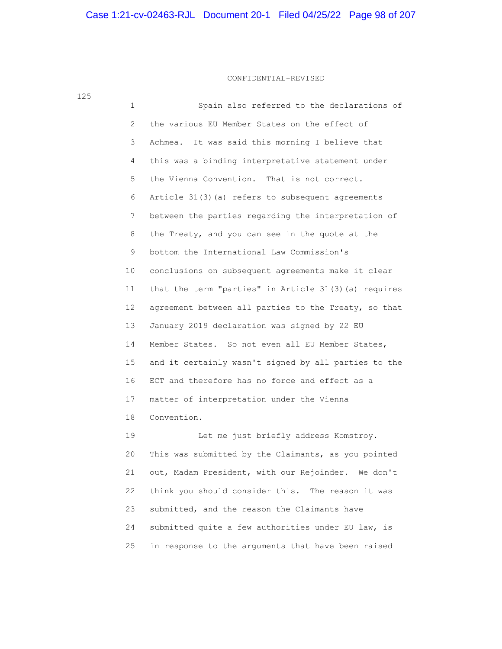| 1              | Spain also referred to the declarations of           |
|----------------|------------------------------------------------------|
| $\overline{2}$ | the various EU Member States on the effect of        |
| 3              | It was said this morning I believe that<br>Achmea.   |
| 4              | this was a binding interpretative statement under    |
| 5              | the Vienna Convention. That is not correct.          |
| 6              | Article 31(3) (a) refers to subsequent agreements    |
| 7              | between the parties regarding the interpretation of  |
| 8              | the Treaty, and you can see in the quote at the      |
| 9              | bottom the International Law Commission's            |
| 10             | conclusions on subsequent agreements make it clear   |
| 11             | that the term "parties" in Article 31(3)(a) requires |
| 12             | agreement between all parties to the Treaty, so that |
| 13             | January 2019 declaration was signed by 22 EU         |
| 14             | Member States. So not even all EU Member States,     |
| 15             | and it certainly wasn't signed by all parties to the |
| 16             | ECT and therefore has no force and effect as a       |
| 17             | matter of interpretation under the Vienna            |
| 18             | Convention.                                          |
| 19             | Let me just briefly address Komstroy.                |
|                |                                                      |

 20 This was submitted by the Claimants, as you pointed 21 out, Madam President, with our Rejoinder. We don't 22 think you should consider this. The reason it was 23 submitted, and the reason the Claimants have 24 submitted quite a few authorities under EU law, is 25 in response to the arguments that have been raised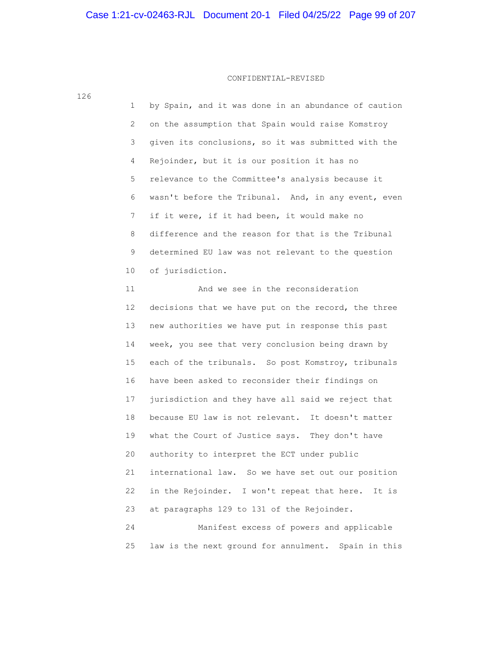126

 1 by Spain, and it was done in an abundance of caution 2 on the assumption that Spain would raise Komstroy 3 given its conclusions, so it was submitted with the 4 Rejoinder, but it is our position it has no 5 relevance to the Committee's analysis because it 6 wasn't before the Tribunal. And, in any event, even 7 if it were, if it had been, it would make no 8 difference and the reason for that is the Tribunal 9 determined EU law was not relevant to the question 10 of jurisdiction.

 11 And we see in the reconsideration 12 decisions that we have put on the record, the three 13 new authorities we have put in response this past 14 week, you see that very conclusion being drawn by 15 each of the tribunals. So post Komstroy, tribunals 16 have been asked to reconsider their findings on 17 jurisdiction and they have all said we reject that 18 because EU law is not relevant. It doesn't matter 19 what the Court of Justice says. They don't have 20 authority to interpret the ECT under public 21 international law. So we have set out our position 22 in the Rejoinder. I won't repeat that here. It is 23 at paragraphs 129 to 131 of the Rejoinder. 24 Manifest excess of powers and applicable

25 law is the next ground for annulment. Spain in this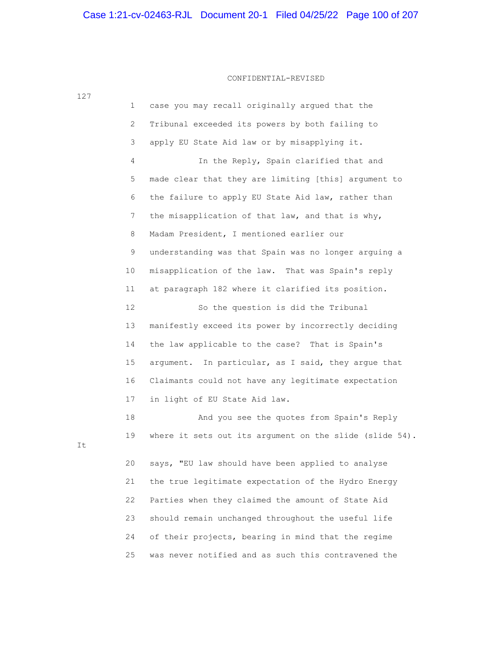|    | $\mathbf{1}$   | case you may recall originally argued that the          |
|----|----------------|---------------------------------------------------------|
|    | 2              | Tribunal exceeded its powers by both failing to         |
|    | 3              | apply EU State Aid law or by misapplying it.            |
|    | $\overline{4}$ | In the Reply, Spain clarified that and                  |
|    | 5              | made clear that they are limiting [this] argument to    |
|    | 6              | the failure to apply EU State Aid law, rather than      |
|    | 7              | the misapplication of that law, and that is why,        |
|    | 8              | Madam President, I mentioned earlier our                |
|    | 9              | understanding was that Spain was no longer arguing a    |
|    | 10             | misapplication of the law. That was Spain's reply       |
|    | 11             | at paragraph 182 where it clarified its position.       |
|    | 12             | So the question is did the Tribunal                     |
|    | 13             | manifestly exceed its power by incorrectly deciding     |
|    | 14             | the law applicable to the case? That is Spain's         |
|    | 15             | argument. In particular, as I said, they argue that     |
|    | 16             | Claimants could not have any legitimate expectation     |
|    | 17             | in light of EU State Aid law.                           |
|    | 18             | And you see the quotes from Spain's Reply               |
| It | 19             | where it sets out its argument on the slide (slide 54). |
|    | 20             | says, "EU law should have been applied to analyse       |
|    | 21             | the true legitimate expectation of the Hydro Energy     |
|    | 22             | Parties when they claimed the amount of State Aid       |
|    | 23             | should remain unchanged throughout the useful life      |
|    | 24             | of their projects, bearing in mind that the regime      |
|    | 25             | was never notified and as such this contravened the     |

127

It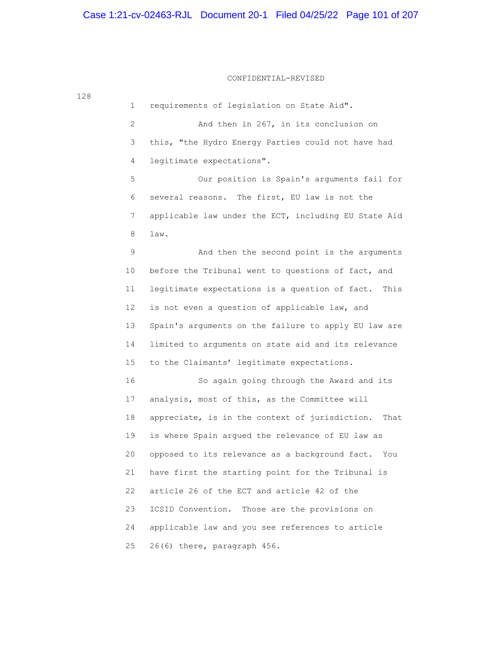# Case 1:21-cv-02463-RJL Document 20-1 Filed 04/25/22 Page 101 of 207

128

## CONFIDENTIAL-REVISED

 1 requirements of legislation on State Aid". 2 And then in 267, in its conclusion on 3 this, "the Hydro Energy Parties could not have had 4 legitimate expectations". 5 Our position is Spain's arguments fail for 6 several reasons. The first, EU law is not the 7 applicable law under the ECT, including EU State Aid 8 law. 9 And then the second point is the arguments 10 before the Tribunal went to questions of fact, and 11 legitimate expectations is a question of fact. This 12 is not even a question of applicable law, and 13 Spain's arguments on the failure to apply EU law are 14 limited to arguments on state aid and its relevance 15 to the Claimants' legitimate expectations. 16 So again going through the Award and its 17 analysis, most of this, as the Committee will 18 appreciate, is in the context of jurisdiction. That 19 is where Spain argued the relevance of EU law as 20 opposed to its relevance as a background fact. You 21 have first the starting point for the Tribunal is 22 article 26 of the ECT and article 42 of the 23 ICSID Convention. Those are the provisions on 24 applicable law and you see references to article 25 26(6) there, paragraph 456.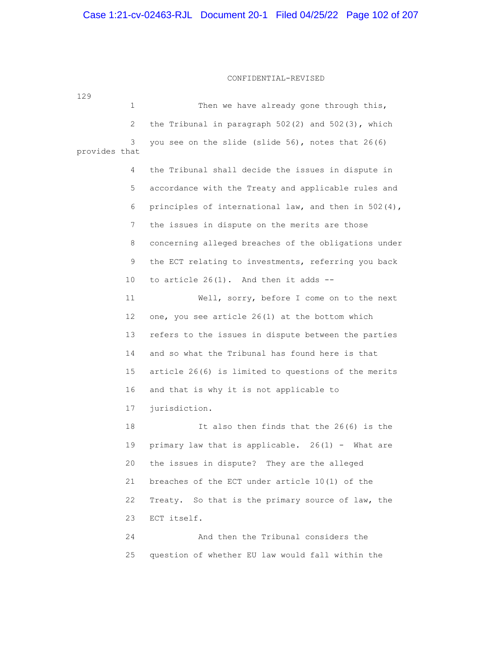# Case 1:21-cv-02463-RJL Document 20-1 Filed 04/25/22 Page 102 of 207

#### CONFIDENTIAL-REVISED

129 1 Then we have already gone through this, 2 the Tribunal in paragraph 502(2) and 502(3), which 3 you see on the slide (slide 56), notes that 26(6) provides that 4 the Tribunal shall decide the issues in dispute in 5 accordance with the Treaty and applicable rules and 6 principles of international law, and then in 502(4), 7 the issues in dispute on the merits are those 8 concerning alleged breaches of the obligations under 9 the ECT relating to investments, referring you back 10 to article 26(1). And then it adds -- 11 Well, sorry, before I come on to the next 12 one, you see article 26(1) at the bottom which 13 refers to the issues in dispute between the parties 14 and so what the Tribunal has found here is that 15 article 26(6) is limited to questions of the merits 16 and that is why it is not applicable to 17 jurisdiction. 18 It also then finds that the 26(6) is the 19 primary law that is applicable. 26(1) - What are 20 the issues in dispute? They are the alleged 21 breaches of the ECT under article 10(1) of the 22 Treaty. So that is the primary source of law, the 23 ECT itself. 24 And then the Tribunal considers the 25 question of whether EU law would fall within the